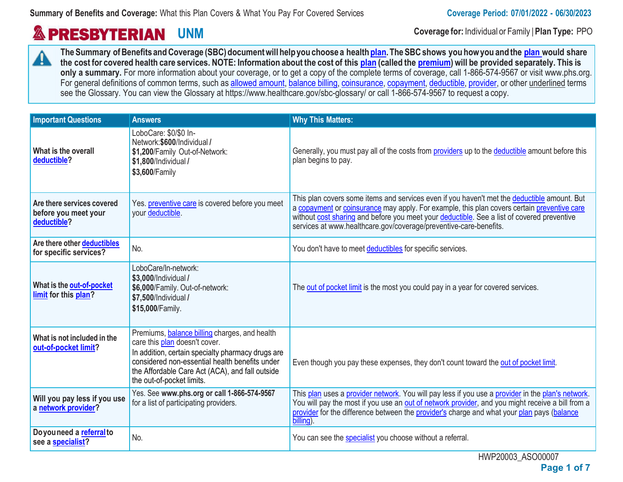# **& PRESBYTERIAN**

**UNM Coverage for:** Individual or Family <sup>|</sup> **Plan Type:** PPO

**TheSummary ofBenefits andCoverage (SBC)documentwill helpyou choose a health plan.TheSBCshows you howyou and the plan would share**  $\mathbf{A}$ the cost for covered health care services. NOTE: Information about the cost of this plan (called the premium) will be provided separately. This is only a summary. For more information about your coverage, or to get a copy of the complete terms of coverage, call 1-866-574-9567 or visit www.phs.org. For general definitions of common terms, such as allowed amount, balance billing, coinsurance, copayment, deductible, provider, or other underlined terms see the Glossary. You can view the Glossary at https://www.healthcare.gov/sbc-glossary/ or call 1-866-574-9567 to request a copy.

| <b>Important Questions</b>                                        | <b>Answers</b>                                                                                                                                                                                                                                                               | <b>Why This Matters:</b>                                                                                                                                                                                                                                                                                                                                      |
|-------------------------------------------------------------------|------------------------------------------------------------------------------------------------------------------------------------------------------------------------------------------------------------------------------------------------------------------------------|---------------------------------------------------------------------------------------------------------------------------------------------------------------------------------------------------------------------------------------------------------------------------------------------------------------------------------------------------------------|
| What is the overall<br>deductible?                                | LoboCare: \$0/\$0 In-<br>Network: \$600/Individual /<br>\$1,200/Family Out-of-Network:<br>\$1,800/Individual /<br>\$3,600/Family                                                                                                                                             | Generally, you must pay all of the costs from providers up to the deductible amount before this<br>plan begins to pay.                                                                                                                                                                                                                                        |
| Are there services covered<br>before you meet your<br>deductible? | Yes. preventive care is covered before you meet<br>your deductible.                                                                                                                                                                                                          | This plan covers some items and services even if you haven't met the deductible amount. But<br>a copayment or coinsurance may apply. For example, this plan covers certain preventive care<br>without cost sharing and before you meet your deductible. See a list of covered preventive<br>services at www.healthcare.gov/coverage/preventive-care-benefits. |
| Are there other deductibles<br>for specific services?             | No.                                                                                                                                                                                                                                                                          | You don't have to meet deductibles for specific services.                                                                                                                                                                                                                                                                                                     |
| What is the out-of-pocket<br>limit for this plan?                 | LoboCare/In-network:<br>\$3,000/Individual /<br>\$6,000/Family. Out-of-network:<br>\$7,500/Individual /<br>\$15,000/Family.                                                                                                                                                  | The out of pocket limit is the most you could pay in a year for covered services.                                                                                                                                                                                                                                                                             |
| What is not included in the<br>out-of-pocket limit?               | Premiums, <b>balance billing</b> charges, and health<br>care this plan doesn't cover.<br>In addition, certain specialty pharmacy drugs are<br>considered non-essential health benefits under<br>the Affordable Care Act (ACA), and fall outside<br>the out-of-pocket limits. | Even though you pay these expenses, they don't count toward the out of pocket limit.                                                                                                                                                                                                                                                                          |
| Will you pay less if you use<br>a network provider?               | Yes. See www.phs.org or call 1-866-574-9567<br>for a list of participating providers.                                                                                                                                                                                        | This plan uses a provider network. You will pay less if you use a provider in the plan's network.<br>You will pay the most if you use an out of network provider, and you might receive a bill from a<br>provider for the difference between the provider's charge and what your plan pays (balance<br>billing).                                              |
| Doyou need a referral to<br>see a specialist?                     | No.                                                                                                                                                                                                                                                                          | You can see the specialist you choose without a referral.                                                                                                                                                                                                                                                                                                     |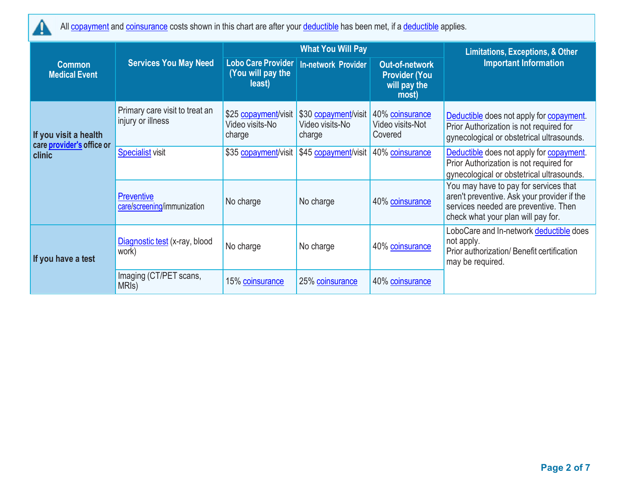

All copayment and coinsurance costs shown in this chart are after your deductible has been met, if a deductible applies.

|                                                    |                                                     |                                                   | <b>What You Will Pay</b>                          | <b>Limitations, Exceptions, &amp; Other</b>                     |                                                                                                                                                                    |  |
|----------------------------------------------------|-----------------------------------------------------|---------------------------------------------------|---------------------------------------------------|-----------------------------------------------------------------|--------------------------------------------------------------------------------------------------------------------------------------------------------------------|--|
| <b>Common</b><br><b>Medical Event</b>              | <b>Services You May Need</b>                        | Lobo Care Provider<br>(You will pay the<br>least) | <b>In-network Provider</b>                        | Out-of-network<br><b>Provider (You</b><br>will pay the<br>most) | <b>Important Information</b>                                                                                                                                       |  |
| If you visit a health<br>care provider's office or | Primary care visit to treat an<br>injury or illness | \$25 copayment/visit<br>Video visits-No<br>charge | \$30 copayment/visit<br>Video visits-No<br>charge | 40% coinsurance<br>Video visits-Not<br>Covered                  | Deductible does not apply for copayment.<br>Prior Authorization is not required for<br>gynecological or obstetrical ultrasounds.                                   |  |
| clinic                                             | <b>Specialist visit</b>                             | \$35 copayment/visit                              | \$45 copayment/visit                              | 40% coinsurance                                                 | Deductible does not apply for copayment.<br>Prior Authorization is not required for<br>gynecological or obstetrical ultrasounds.                                   |  |
|                                                    | Preventive<br>care/screening/immunization           | No charge                                         | No charge                                         | 40% coinsurance                                                 | You may have to pay for services that<br>aren't preventive. Ask your provider if the<br>services needed are preventive. Then<br>check what your plan will pay for. |  |
| If you have a test                                 | Diagnostic test (x-ray, blood<br>work)              | No charge                                         | No charge                                         | 40% coinsurance                                                 | LoboCare and In-network deductible does<br>not apply.<br>Prior authorization/ Benefit certification<br>may be required.                                            |  |
|                                                    | Imaging (CT/PET scans,<br>MRI <sub>s</sub> )        | 15% coinsurance                                   | 25% coinsurance                                   | 40% coinsurance                                                 |                                                                                                                                                                    |  |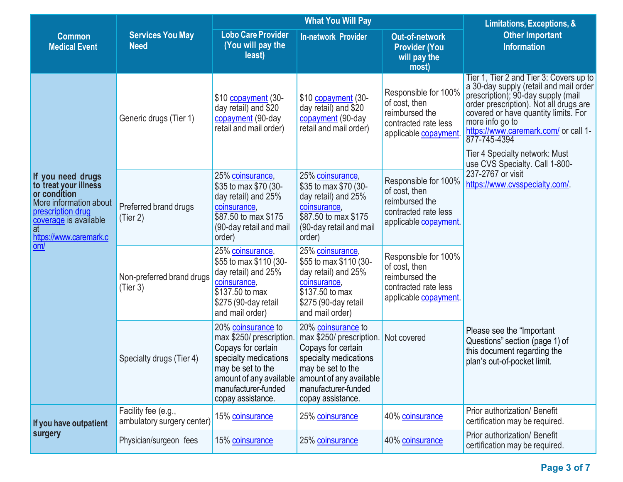|                                                                                                                                                                    |                                                                                                                                                                                                                       |                                                                                                                                                                                           | <b>What You Will Pay</b>                                                                                                                        | Limitations, Exceptions, &                                                                                                |                                                                                                                                                                                                                                                                                                                                                          |  |
|--------------------------------------------------------------------------------------------------------------------------------------------------------------------|-----------------------------------------------------------------------------------------------------------------------------------------------------------------------------------------------------------------------|-------------------------------------------------------------------------------------------------------------------------------------------------------------------------------------------|-------------------------------------------------------------------------------------------------------------------------------------------------|---------------------------------------------------------------------------------------------------------------------------|----------------------------------------------------------------------------------------------------------------------------------------------------------------------------------------------------------------------------------------------------------------------------------------------------------------------------------------------------------|--|
| <b>Common</b><br><b>Medical Event</b>                                                                                                                              | <b>Services You May</b><br><b>Need</b>                                                                                                                                                                                | <b>Lobo Care Provider</b><br>(You will pay the<br>least)                                                                                                                                  | <b>In-network Provider</b>                                                                                                                      | <b>Out-of-network</b><br><b>Provider (You</b><br>will pay the<br>most)                                                    | <b>Other Important</b><br><b>Information</b>                                                                                                                                                                                                                                                                                                             |  |
|                                                                                                                                                                    | Generic drugs (Tier 1)                                                                                                                                                                                                | \$10 copayment (30-<br>\$10 copayment (30-<br>day retail) and \$20<br>day retail) and \$20<br>copayment (90-day<br>copayment (90-day<br>retail and mail order)<br>retail and mail order)  |                                                                                                                                                 | Responsible for 100%<br>of cost, then<br>reimbursed the<br>contracted rate less<br>applicable copayment                   | Tier 1, Tier 2 and Tier 3: Covers up to<br>a 30-day supply (retail and mail order<br>prescription); 90-day supply (mail<br>order prescription). Not all drugs are<br>covered or have quantity limits. For<br>more info go to<br>https://www.caremark.com/ or call 1-<br>877-745-4394<br>Tier 4 Specialty network: Must<br>use CVS Specialty. Call 1-800- |  |
| If you need drugs<br>to treat your illness<br>or condition<br>More information about<br>prescription drug<br>coverage is available<br>at<br>https://www.caremark.c | Preferred brand drugs<br>(Tier 2)                                                                                                                                                                                     | 25% coinsurance,<br>\$35 to max \$70 (30-<br>day retail) and 25%<br>coinsurance,<br>\$87.50 to max \$175<br>(90-day retail and mail<br>order)                                             | 25% coinsurance,<br>\$35 to max \$70 (30-<br>day retail) and 25%<br>coinsurance,<br>\$87.50 to max \$175<br>(90-day retail and mail<br>order)   | Responsible for 100%<br>of cost, then<br>reimbursed the<br>contracted rate less<br>applicable copayment.                  | 237-2767 or visit<br>https://www.cvsspecialty.com/.                                                                                                                                                                                                                                                                                                      |  |
| om/                                                                                                                                                                | Non-preferred brand drugs<br>(Tier 3)                                                                                                                                                                                 | 25% coinsurance,<br>\$55 to max \$110 (30-<br>day retail) and 25%<br>coinsurance,<br>\$137.50 to max<br>\$275 (90-day retail<br>and mail order)                                           | 25% coinsurance,<br>\$55 to max \$110 (30-<br>day retail) and 25%<br>coinsurance,<br>\$137.50 to max<br>\$275 (90-day retail<br>and mail order) | Responsible for 100%<br>of cost, then<br>reimbursed the<br>contracted rate less<br>applicable copayment.                  |                                                                                                                                                                                                                                                                                                                                                          |  |
|                                                                                                                                                                    | 20% coinsurance to<br>max \$250/ prescription.<br>Copays for certain<br>specialty medications<br>Specialty drugs (Tier 4)<br>may be set to the<br>amount of any available<br>manufacturer-funded<br>copay assistance. | 20% coinsurance to<br>max \$250/ prescription.<br>Copays for certain<br>specialty medications<br>may be set to the<br>amount of any available<br>manufacturer-funded<br>copay assistance. | Not covered                                                                                                                                     | Please see the "Important<br>Questions" section (page 1) of<br>this document regarding the<br>plan's out-of-pocket limit. |                                                                                                                                                                                                                                                                                                                                                          |  |
| If you have outpatient                                                                                                                                             | Facility fee (e.g.,<br>ambulatory surgery center)                                                                                                                                                                     | 15% coinsurance                                                                                                                                                                           | 25% coinsurance                                                                                                                                 | 40% coinsurance                                                                                                           | Prior authorization/ Benefit<br>certification may be required.                                                                                                                                                                                                                                                                                           |  |
| surgery                                                                                                                                                            | Physician/surgeon fees                                                                                                                                                                                                | 15% coinsurance                                                                                                                                                                           | 25% coinsurance                                                                                                                                 | 40% coinsurance                                                                                                           | Prior authorization/ Benefit<br>certification may be required.                                                                                                                                                                                                                                                                                           |  |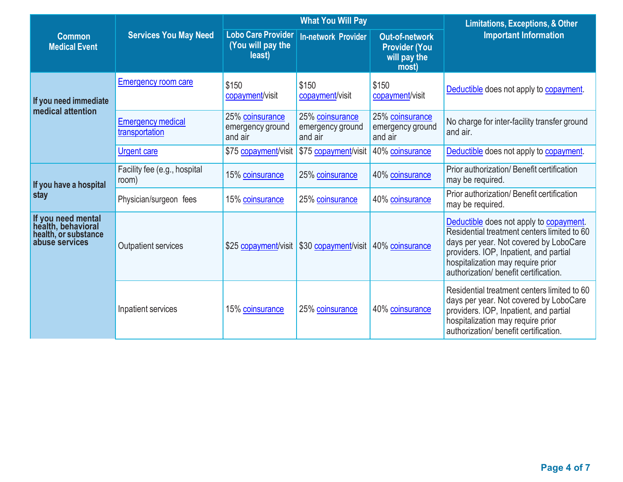|                                                                                    |                                            |                                                          | <b>What You Will Pay</b>                                  | <b>Limitations, Exceptions, &amp; Other</b>                            |                                                                                                                                                                                                                                                          |  |
|------------------------------------------------------------------------------------|--------------------------------------------|----------------------------------------------------------|-----------------------------------------------------------|------------------------------------------------------------------------|----------------------------------------------------------------------------------------------------------------------------------------------------------------------------------------------------------------------------------------------------------|--|
| <b>Common</b><br><b>Medical Event</b>                                              | <b>Services You May Need</b>               | <b>Lobo Care Provider</b><br>(You will pay the<br>least) | <b>In-network Provider</b>                                | <b>Out-of-network</b><br><b>Provider (You</b><br>will pay the<br>most) | <b>Important Information</b>                                                                                                                                                                                                                             |  |
| If you need immediate                                                              | <b>Emergency room care</b>                 | \$150<br>copayment/visit                                 | \$150<br>copayment/visit                                  | \$150<br>copayment/visit                                               | Deductible does not apply to copayment.                                                                                                                                                                                                                  |  |
| medical attention                                                                  | <b>Emergency medical</b><br>transportation | 25% coinsurance<br>emergency ground<br>and air           | 25% coinsurance<br>emergency ground<br>and air            | 25% coinsurance<br>emergency ground<br>and air                         | No charge for inter-facility transfer ground<br>and air.                                                                                                                                                                                                 |  |
|                                                                                    | <b>Urgent care</b>                         | \$75 copayment/visit                                     | \$75 copayment/visit                                      | 40% coinsurance                                                        | Deductible does not apply to copayment.                                                                                                                                                                                                                  |  |
| If you have a hospital                                                             | Facility fee (e.g., hospital<br>room)      | 15% coinsurance                                          | 25% coinsurance                                           | 40% coinsurance                                                        | Prior authorization/ Benefit certification<br>may be required.                                                                                                                                                                                           |  |
| stay                                                                               | Physician/surgeon fees                     | 15% coinsurance                                          | 25% coinsurance                                           | 40% coinsurance                                                        | Prior authorization/ Benefit certification<br>may be required.                                                                                                                                                                                           |  |
| If you need mental<br>health, behavioral<br>health, or substance<br>abuse services | <b>Outpatient services</b>                 |                                                          | \$25 copayment/visit \$30 copayment/visit 40% coinsurance |                                                                        | Deductible does not apply to copayment.<br>Residential treatment centers limited to 60<br>days per year. Not covered by LoboCare<br>providers. IOP, Inpatient, and partial<br>hospitalization may require prior<br>authorization/ benefit certification. |  |
|                                                                                    | Inpatient services                         | 15% coinsurance                                          | 25% coinsurance                                           | 40% coinsurance                                                        | Residential treatment centers limited to 60<br>days per year. Not covered by LoboCare<br>providers. IOP, Inpatient, and partial<br>hospitalization may require prior<br>authorization/ benefit certification.                                            |  |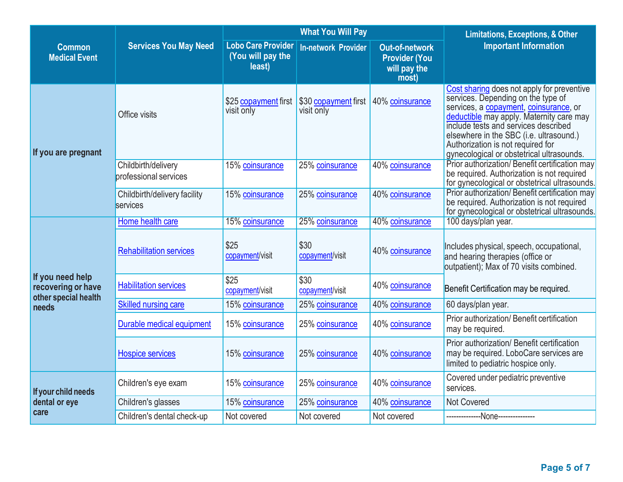|                                                                |                                              |                                                          | <b>What You Will Pay</b>           | <b>Limitations, Exceptions, &amp; Other</b>                            |                                                                                                                                                                                                                                                                                                                                             |
|----------------------------------------------------------------|----------------------------------------------|----------------------------------------------------------|------------------------------------|------------------------------------------------------------------------|---------------------------------------------------------------------------------------------------------------------------------------------------------------------------------------------------------------------------------------------------------------------------------------------------------------------------------------------|
| <b>Common</b><br><b>Medical Event</b>                          | <b>Services You May Need</b>                 | <b>Lobo Care Provider</b><br>(You will pay the<br>least) | <b>In-network Provider</b>         | <b>Out-of-network</b><br><b>Provider (You</b><br>will pay the<br>most) | <b>Important Information</b>                                                                                                                                                                                                                                                                                                                |
| If you are pregnant                                            | Office visits                                | \$25 copayment first<br>visit only                       | \$30 copayment first<br>visit only | 40% coinsurance                                                        | Cost sharing does not apply for preventive<br>services. Depending on the type of<br>services, a copayment, coinsurance, or<br>deductible may apply. Maternity care may<br>include tests and services described<br>elsewhere in the SBC (i.e. ultrasound.)<br>Authorization is not required for<br>gynecological or obstetrical ultrasounds. |
|                                                                | Childbirth/delivery<br>professional services | 15% coinsurance                                          | 25% coinsurance                    | 40% coinsurance                                                        | Prior authorization/ Benefit certification may<br>be required. Authorization is not required<br>for gynecological or obstetrical ultrasounds.                                                                                                                                                                                               |
|                                                                | Childbirth/delivery facility<br>services     | 15% coinsurance                                          | 25% coinsurance                    | 40% coinsurance                                                        | Prior authorization/ Benefit certification may<br>be required. Authorization is not required<br>for gynecological or obstetrical ultrasounds.                                                                                                                                                                                               |
|                                                                | Home health care                             | 15% coinsurance                                          | 25% coinsurance                    | 40% coinsurance                                                        | 100 days/plan year.                                                                                                                                                                                                                                                                                                                         |
|                                                                | <b>Rehabilitation services</b>               | \$25<br>copayment/visit                                  | \$30<br>copayment/visit            | 40% coinsurance                                                        | Includes physical, speech, occupational,<br>and hearing therapies (office or<br>outpatient); Max of 70 visits combined.                                                                                                                                                                                                                     |
| If you need help<br>recovering or have<br>other special health | <b>Habilitation services</b>                 | \$25<br>copayment/visit                                  | \$30<br>copayment/visit            | 40% coinsurance                                                        | Benefit Certification may be required.                                                                                                                                                                                                                                                                                                      |
| needs                                                          | <b>Skilled nursing care</b>                  | 15% coinsurance                                          | 25% coinsurance                    | 40% coinsurance                                                        | 60 days/plan year.                                                                                                                                                                                                                                                                                                                          |
|                                                                | Durable medical equipment                    | 15% coinsurance                                          | 25% coinsurance                    | 40% coinsurance                                                        | Prior authorization/ Benefit certification<br>may be required.                                                                                                                                                                                                                                                                              |
|                                                                | <b>Hospice services</b>                      | 15% coinsurance                                          | 25% coinsurance                    | 40% coinsurance                                                        | Prior authorization/ Benefit certification<br>may be required. LoboCare services are<br>limited to pediatric hospice only.                                                                                                                                                                                                                  |
| If your child needs                                            | Children's eye exam                          | 15% coinsurance                                          | 25% coinsurance                    | 40% coinsurance                                                        | Covered under pediatric preventive<br>services.                                                                                                                                                                                                                                                                                             |
| dental or eye                                                  | Children's glasses                           | 15% coinsurance                                          | 25% coinsurance                    | 40% coinsurance                                                        | Not Covered                                                                                                                                                                                                                                                                                                                                 |
| care                                                           | Children's dental check-up                   | Not covered                                              | Not covered                        | Not covered                                                            | -------------None--------------                                                                                                                                                                                                                                                                                                             |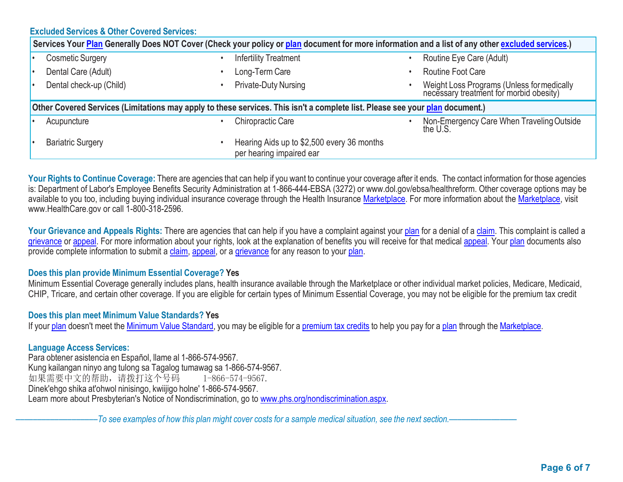## **Excluded Services & Other Covered Services:**

| Services Your Plan Generally Does NOT Cover (Check your policy or plan document for more information and a list of any other excluded services.) |  |                                                                        |  |                                                                                       |  |  |  |  |
|--------------------------------------------------------------------------------------------------------------------------------------------------|--|------------------------------------------------------------------------|--|---------------------------------------------------------------------------------------|--|--|--|--|
| <b>Cosmetic Surgery</b>                                                                                                                          |  | <b>Infertility Treatment</b>                                           |  | Routine Eye Care (Adult)                                                              |  |  |  |  |
| Dental Care (Adult)                                                                                                                              |  | Long-Term Care                                                         |  | <b>Routine Foot Care</b>                                                              |  |  |  |  |
| Dental check-up (Child)                                                                                                                          |  | <b>Private-Duty Nursing</b>                                            |  | Weight Loss Programs (Unless for medically<br>necessary treatment for morbid obesity) |  |  |  |  |
| Other Covered Services (Limitations may apply to these services. This isn't a complete list. Please see your plan document.)                     |  |                                                                        |  |                                                                                       |  |  |  |  |
| Acupuncture                                                                                                                                      |  | <b>Chiropractic Care</b>                                               |  | Non-Emergency Care When Traveling Outside<br>the U.S.                                 |  |  |  |  |
| <b>Bariatric Surgery</b>                                                                                                                         |  | Hearing Aids up to \$2,500 every 36 months<br>per hearing impaired ear |  |                                                                                       |  |  |  |  |

**Your Rights to Continue Coverage:** There are agencies that can help if you want to continue your coverage after it ends. The contact information for those agencies is: Department of Labor's Employee Benefits Security Administration at 1-866-444-EBSA (3272) or www.dol.gov/ebsa/healthreform. Other coverage options may be available to you too, including buying individual insurance coverage through the Health Insurance Marketplace. For more information about the Marketplace, visit www.HealthCare.gov or call 1-800-318-2596.

Your Grievance and Appeals Rights: There are agencies that can help if you have a complaint against your plan for a denial of a claim. This complaint is called a grievance or appeal. For more information about your rights, look at the explanation of benefits you will receive for that medical appeal. Your plan documents also provide complete information to submit a claim, appeal, or a grievance for any reason to your plan.

#### **Does this plan provide Minimum Essential Coverage? Yes**

Minimum Essential Coverage generally includes plans, health insurance available through the Marketplace or other individual market policies, Medicare, Medicaid, CHIP, Tricare, and certain other coverage. If you are eligible for certain types of Minimum Essential Coverage, you may not be eligible for the premium tax credit

#### **Does this plan meet Minimum Value Standards? Yes**

If your plan doesn't meet the Minimum Value Standard, you may be eligible for a premium tax credits to help you pay for a plan through the Marketplace.

### **Language Access Services:**

Para obtener asistencia en Español, llame al 1-866-574-9567. Kung kailangan ninyo ang tulong sa Tagalog tumawag sa 1-866-574-9567. 如果需要中文的帮助,请拨打这个号码 1-866-574-9567. Dinek'ehgo shika at'ohwol ninisingo, kwiijigo holne' 1-866-574-9567. Learn more about Presbyterian's Notice of Nondiscrimination, go to www.phs.org/nondiscrimination.aspx.

-To see examples of how this plan might cover costs for a sample medical situation, see the next section.